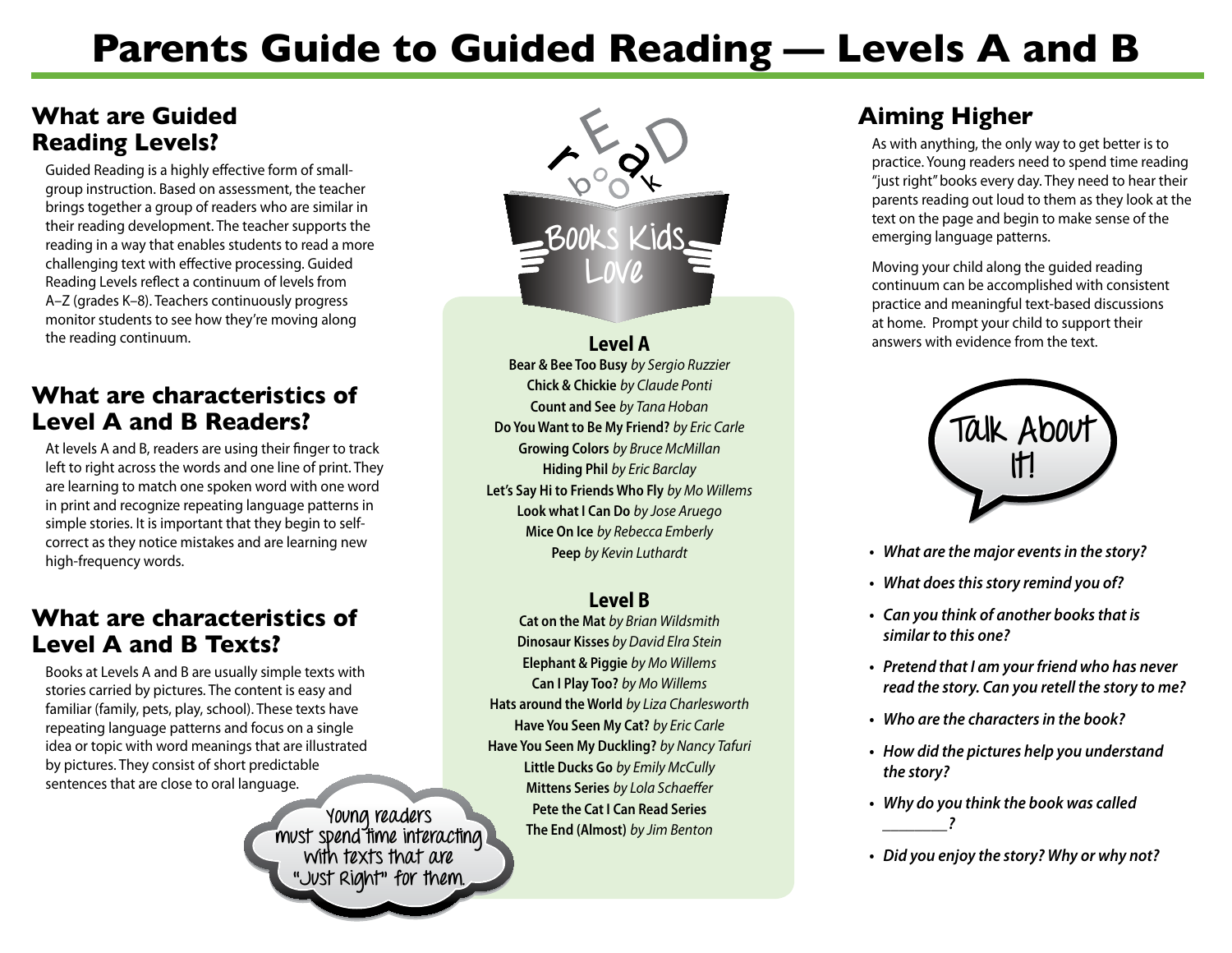## **Parents Guide to Guided Reading — Levels A and B**

#### **What are Guided Reading Levels?**

Guided Reading is a highly effective form of smallgroup instruction. Based on assessment, the teacher brings together a group of readers who are similar in their reading development. The teacher supports the reading in a way that enables students to read a more challenging text with effective processing. Guided Reading Levels reflect a continuum of levels from A–Z (grades K–8). Teachers continuously progress monitor students to see how they're moving along the reading continuum.

#### **What are characteristics of Level A and B Readers?**

At levels A and B, readers are using their finger to track left to right across the words and one line of print. They are learning to match one spoken word with one word in print and recognize repeating language patterns in simple stories. It is important that they begin to selfcorrect as they notice mistakes and are learning new high-frequency words.

#### **What are characteristics of Level A and B Texts?**

Books at Levels A and B are usually simple texts with stories carried by pictures. The content is easy and familiar (family, pets, play, school). These texts have repeating language patterns and focus on a single idea or topic with word meanings that are illustrated by pictures. They consist of short predictable sentences that are close to oral language.

> **Young readers must spend time interacting with texts that are "Just Right" for them.**



**Level A Bear & Bee Too Busy** *by Sergio Ruzzier* **Chick & Chickie** *by Claude Ponti*  **Count and See** *by Tana Hoban*  **Do You Want to Be My Friend?** *by Eric Carle*  **Growing Colors** *by Bruce McMillan*  **Hiding Phil** *by Eric Barclay* **Let's Say Hi to Friends Who Fly** *by Mo Willems* **Look what I Can Do** *by Jose Aruego*  **Mice On Ice** *by Rebecca Emberly* **Peep** *by Kevin Luthardt*

#### **Level B**

**Cat on the Mat** *by Brian Wildsmith*  **Dinosaur Kisses** *by David Elra Stein* **Elephant & Piggie** *by Mo Willems*  **Can I Play Too?** *by Mo Willems* **Hats around the World** *by Liza Charlesworth*  **Have You Seen My Cat?** *by Eric Carle*  **Have You Seen My Duckling?** *by Nancy Tafuri*  **Little Ducks Go** *by Emily McCully*  **Mittens Series** *by Lola Schaeffer*  **Pete the Cat I Can Read Series The End (Almost)** *by Jim Benton*

### **Aiming Higher**

As with anything, the only way to get better is to practice. Young readers need to spend time reading "just right" books every day. They need to hear their parents reading out loud to them as they look at the text on the page and begin to make sense of the emerging language patterns.

Moving your child along the guided reading continuum can be accomplished with consistent practice and meaningful text-based discussions at home. Prompt your child to support their answers with evidence from the text.



- **• What are the major eventsin the story?**
- **• What doesthisstory remind you of?**
- **• Can you think of another booksthat is similar to this one?**
- **• Pretend that I am your friend who has never read the story. Can you retell the story to me?**
- **• Who are the charactersin the book?**
- **• How did the pictures help you understand the story?**
- **• Why do you think the book was called \_\_\_\_\_\_\_\_?**
- **• Did you enjoy the story? Why or why not?**